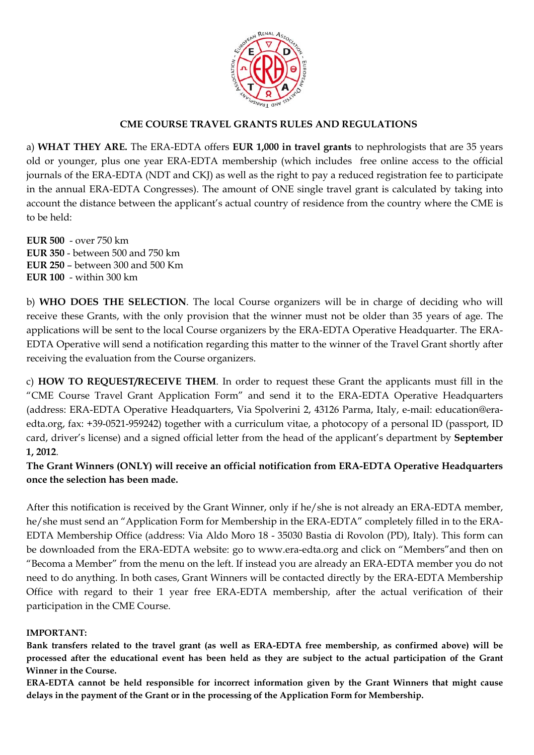

### **CME COURSE TRAVEL GRANTS RULES AND REGULATIONS**

a) **WHAT THEY ARE.** The ERA-EDTA offers **EUR 1,000 in travel grants** to nephrologists that are 35 years old or younger, plus one year ERA-EDTA membership (which includes free online access to the official journals of the ERA-EDTA (NDT and CKJ) as well as the right to pay a reduced registration fee to participate in the annual ERA-EDTA Congresses). The amount of ONE single travel grant is calculated by taking into account the distance between the applicant's actual country of residence from the country where the CME is to be held:

**EUR 500** - over 750 km **EUR 350** - between 500 and 750 km **EUR 250** – between 300 and 500 Km **EUR 100** - within 300 km

b) **WHO DOES THE SELECTION**. The local Course organizers will be in charge of deciding who will receive these Grants, with the only provision that the winner must not be older than 35 years of age. The applications will be sent to the local Course organizers by the ERA-EDTA Operative Headquarter. The ERA-EDTA Operative will send a notification regarding this matter to the winner of the Travel Grant shortly after receiving the evaluation from the Course organizers.

c) **HOW TO REQUEST/RECEIVE THEM**. In order to request these Grant the applicants must fill in the "CME Course Travel Grant Application Form" and send it to the ERA-EDTA Operative Headquarters (address: ERA-EDTA Operative Headquarters, Via Spolverini 2, 43126 Parma, Italy, e-mail: education@eraedta.org, fax: +39-0521-959242) together with a curriculum vitae, a photocopy of a personal ID (passport, ID card, driver's license) and a signed official letter from the head of the applicant's department by **September 1, 2012**.

**The Grant Winners (ONLY) will receive an official notification from ERA-EDTA Operative Headquarters once the selection has been made.** 

After this notification is received by the Grant Winner, only if he/she is not already an ERA-EDTA member, he/she must send an "Application Form for Membership in the ERA-EDTA" completely filled in to the ERA-EDTA Membership Office (address: Via Aldo Moro 18 - 35030 Bastia di Rovolon (PD), Italy). This form can be downloaded from the ERA-EDTA website: go to www.era-edta.org and click on "Members"and then on "Becoma a Member" from the menu on the left. If instead you are already an ERA-EDTA member you do not need to do anything. In both cases, Grant Winners will be contacted directly by the ERA-EDTA Membership Office with regard to their 1 year free ERA-EDTA membership, after the actual verification of their participation in the CME Course.

#### **IMPORTANT:**

**Bank transfers related to the travel grant (as well as ERA-EDTA free membership, as confirmed above) will be processed after the educational event has been held as they are subject to the actual participation of the Grant Winner in the Course.** 

**ERA-EDTA cannot be held responsible for incorrect information given by the Grant Winners that might cause delays in the payment of the Grant or in the processing of the Application Form for Membership.**